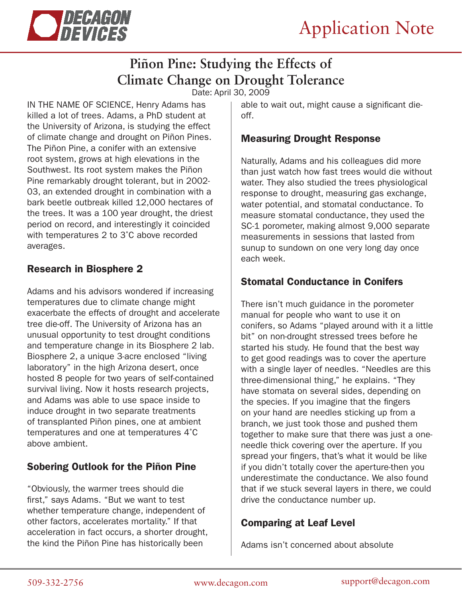

# **Piñon Pine: Studying the Effects of Climate Change on Drought Tolerance**

Date: April 30, 2009

IN THE NAME OF SCIENCE, Henry Adams has killed a lot of trees. Adams, a PhD student at the University of Arizona, is studying the effect of climate change and drought on Piñon Pines. The Piñon Pine, a conifer with an extensive root system, grows at high elevations in the Southwest. Its root system makes the Piñon Pine remarkably drought tolerant, but in 2002- 03, an extended drought in combination with a bark beetle outbreak killed 12,000 hectares of the trees. It was a 100 year drought, the driest period on record, and interestingly it coincided with temperatures 2 to 3˚C above recorded averages.

#### Research in Biosphere 2

Adams and his advisors wondered if increasing temperatures due to climate change might exacerbate the effects of drought and accelerate tree die-off. The University of Arizona has an unusual opportunity to test drought conditions and temperature change in its Biosphere 2 lab. Biosphere 2, a unique 3-acre enclosed "living laboratory" in the high Arizona desert, once hosted 8 people for two years of self-contained survival living. Now it hosts research projects, and Adams was able to use space inside to induce drought in two separate treatments of transplanted Piñon pines, one at ambient temperatures and one at temperatures 4˚C above ambient.

### Sobering Outlook for the Piñon Pine

"Obviously, the warmer trees should die first," says Adams. "But we want to test whether temperature change, independent of other factors, accelerates mortality." If that acceleration in fact occurs, a shorter drought, the kind the Piñon Pine has historically been

able to wait out, might cause a significant dieoff.

#### Measuring Drought Response

Naturally, Adams and his colleagues did more than just watch how fast trees would die without water. They also studied the trees physiological response to drought, measuring gas exchange, water potential, and stomatal conductance. To measure stomatal conductance, they used the SC-1 porometer, making almost 9,000 separate measurements in sessions that lasted from sunup to sundown on one very long day once each week.

#### Stomatal Conductance in Conifers

There isn't much guidance in the porometer manual for people who want to use it on conifers, so Adams "played around with it a little bit" on non-drought stressed trees before he started his study. He found that the best way to get good readings was to cover the aperture with a single layer of needles. "Needles are this three-dimensional thing," he explains. "They have stomata on several sides, depending on the species. If you imagine that the fingers on your hand are needles sticking up from a branch, we just took those and pushed them together to make sure that there was just a oneneedle thick covering over the aperture. If you spread your fingers, that's what it would be like if you didn't totally cover the aperture-then you underestimate the conductance. We also found that if we stuck several layers in there, we could drive the conductance number up.

#### Comparing at Leaf Level

Adams isn't concerned about absolute